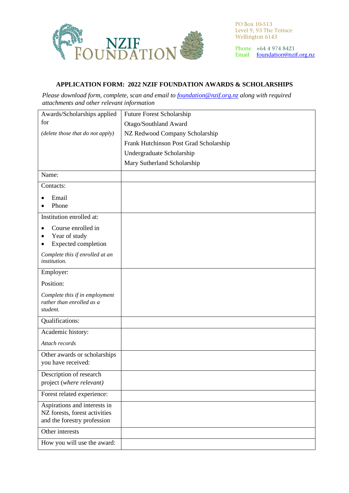

PO Box 10-513 Level 9, 93 The Terrace<br>Wellington 6143

Phone +64 4 974 8421 Email foundation@nzif.org.nz

## **APPLICATION FORM: 2022 NZIF FOUNDATION AWARDS & SCHOLARSHIPS**

*Please download form, complete, scan and email to [foundation@nzif.org.nz](mailto:foundation@nzif.co.nz) along with required attachments and other relevant information*

| Awards/Scholarships applied                                  | Future Forest Scholarship              |
|--------------------------------------------------------------|----------------------------------------|
| for                                                          | Otago/Southland Award                  |
| (delete those that do not apply)                             | NZ Redwood Company Scholarship         |
|                                                              | Frank Hutchinson Post Grad Scholarship |
|                                                              | Undergraduate Scholarship              |
|                                                              | Mary Sutherland Scholarship            |
| Name:                                                        |                                        |
| Contacts:                                                    |                                        |
| Email                                                        |                                        |
| Phone                                                        |                                        |
| Institution enrolled at:                                     |                                        |
| Course enrolled in                                           |                                        |
| Year of study                                                |                                        |
| <b>Expected completion</b>                                   |                                        |
| Complete this if enrolled at an<br><i>institution.</i>       |                                        |
| Employer:                                                    |                                        |
| Position:                                                    |                                        |
| Complete this if in employment<br>rather than enrolled as a  |                                        |
| student.                                                     |                                        |
| Qualifications:                                              |                                        |
| Academic history:                                            |                                        |
| Attach records                                               |                                        |
| Other awards or scholarships                                 |                                        |
| you have received:                                           |                                        |
| Description of research                                      |                                        |
| project (where relevant)                                     |                                        |
| Forest related experience:                                   |                                        |
| Aspirations and interests in                                 |                                        |
| NZ forests, forest activities<br>and the forestry profession |                                        |
| Other interests                                              |                                        |
|                                                              |                                        |
| How you will use the award:                                  |                                        |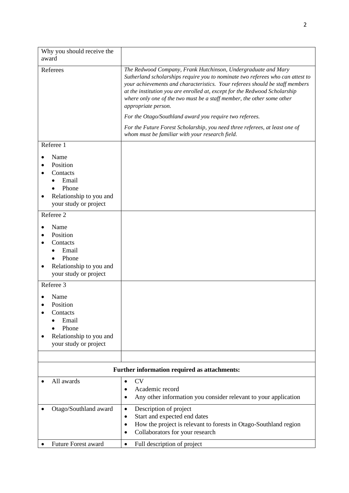| Why you should receive the<br>award                                                                |                                                                                                                                                                                                                                                                                                                                                                                                                                                                                                                                                          |
|----------------------------------------------------------------------------------------------------|----------------------------------------------------------------------------------------------------------------------------------------------------------------------------------------------------------------------------------------------------------------------------------------------------------------------------------------------------------------------------------------------------------------------------------------------------------------------------------------------------------------------------------------------------------|
| Referees                                                                                           | The Redwood Company, Frank Hutchinson, Undergraduate and Mary<br>Sutherland scholarships require you to nominate two referees who can attest to<br>your achievements and characteristics. Your referees should be staff members<br>at the institution you are enrolled at, except for the Redwood Scholarship<br>where only one of the two must be a staff member, the other some other<br>appropriate person.<br>For the Otago/Southland award you require two referees.<br>For the Future Forest Scholarship, you need three referees, at least one of |
| Referee 1                                                                                          | whom must be familiar with your research field.                                                                                                                                                                                                                                                                                                                                                                                                                                                                                                          |
| Name<br>Position<br>Contacts<br>Email<br>Phone<br>Relationship to you and<br>your study or project |                                                                                                                                                                                                                                                                                                                                                                                                                                                                                                                                                          |
| Referee 2                                                                                          |                                                                                                                                                                                                                                                                                                                                                                                                                                                                                                                                                          |
| Name<br>Position<br>Contacts<br>Email<br>Phone<br>Relationship to you and<br>your study or project |                                                                                                                                                                                                                                                                                                                                                                                                                                                                                                                                                          |
| Referee 3                                                                                          |                                                                                                                                                                                                                                                                                                                                                                                                                                                                                                                                                          |
| Name<br>Position<br>Contacts<br>Email<br>Phone<br>Relationship to you and<br>your study or project |                                                                                                                                                                                                                                                                                                                                                                                                                                                                                                                                                          |
|                                                                                                    |                                                                                                                                                                                                                                                                                                                                                                                                                                                                                                                                                          |
| Further information required as attachments:                                                       |                                                                                                                                                                                                                                                                                                                                                                                                                                                                                                                                                          |
| All awards                                                                                         | <b>CV</b><br>$\bullet$<br>Academic record<br>Any other information you consider relevant to your application                                                                                                                                                                                                                                                                                                                                                                                                                                             |
| Otago/Southland award                                                                              | Description of project<br>$\bullet$<br>Start and expected end dates<br>٠<br>How the project is relevant to forests in Otago-Southland region<br>Collaborators for your research                                                                                                                                                                                                                                                                                                                                                                          |
| Future Forest award                                                                                | Full description of project<br>$\bullet$                                                                                                                                                                                                                                                                                                                                                                                                                                                                                                                 |